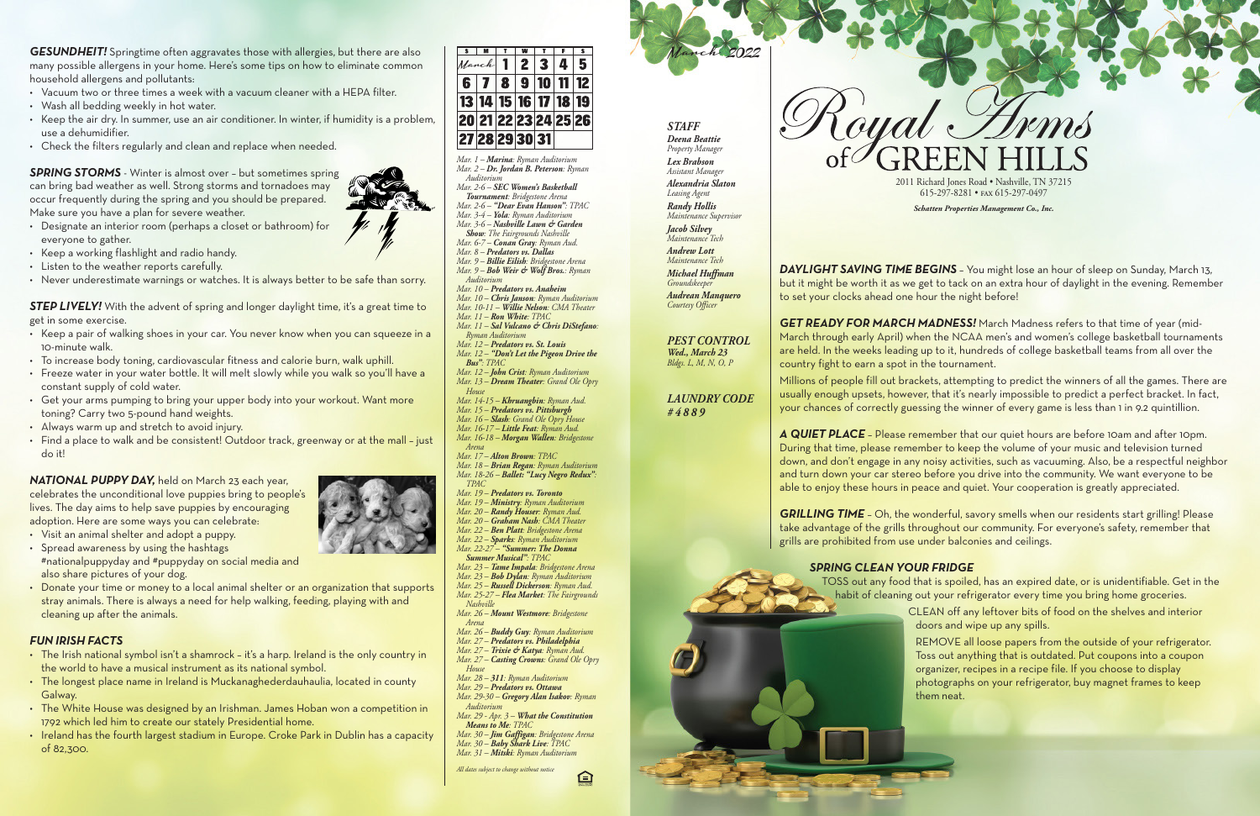| <b>S</b>           | M |   | w |                                  | s                    |
|--------------------|---|---|---|----------------------------------|----------------------|
| March              |   |   | 2 |                                  |                      |
| 6                  |   | 8 | 9 |                                  |                      |
|                    |   |   |   | 13   14   15   16   17   18   19 |                      |
|                    |   |   |   |                                  | 20 21 22 23 24 25 26 |
| 27  28  29  30  31 |   |   |   |                                  |                      |

*Mar. 1 – Marina: Ryman Auditorium Mar. 2 – Dr. Jordan B. Peterson: Ryman Auditorium*

*Mar. 2-6 – SEC Women's Basketball Tournament: Bridgestone Arena Mar. 2-6 – "Dear Evan Hanson": TPAC*

*Mar. 3-4 – Yola: Ryman Auditorium Mar. 3-6 – Nashville Lawn & Garden Show: The Fairgrounds Nashville*

- *Mar. 6-7 – Conan Gray: Ryman Aud. Mar. 8 – Predators vs. Dallas*
- *Mar. 9 – Billie Eilish: Bridgestone Arena*
- *Mar. 9 – Bob Weir & Wolf Bros.: Ryman Auditorium*
- *Mar. 10 – Predators vs. Anaheim Mar. 10 – Chris Janson: Ryman Auditorium Mar. 10-11 – Willie Nelson: CMA Theater*
- *Mar. 11 – Ron White: TPAC Mar. 11 – Sal Vulcano & Chris DiStefano:*
- *Ryman Auditorium Mar. 12 – Predators vs. St. Louis*
- *Mar. 12 – "Don't Let the Pigeon Drive the*
- *Bus": TPAC Mar. 12 – John Crist: Ryman Auditorium Mar. 13 – Dream Theater: Grand Ole Opry*
- *House Mar. 14-15 – Khruangbin: Ryman Aud. Mar. 15 – Predators vs. Pittsburgh*

*Mar. 16 – Slash: Grand Ole Opry House Mar. 16-17 – Little Feat: Ryman Aud. Mar. 16-18 – Morgan Wallen: Bridgestone Arena*

- *Mar. 17 – Alton Brown: TPAC Mar. 18 – Brian Regan: Ryman Auditorium*
- *Mar. 18-26 – Ballet: "Lucy Negro Redux": TPAC*
- *Mar. 19 – Predators vs. Toronto*
- *Mar. 19 – Ministry: Ryman Auditorium Mar. 20 – Randy Houser: Ryman Aud.*
- *Mar. 20 – Graham Nash: CMA Theater*
- *Mar. 22 – Ben Platt: Bridgestone Arena*
- *Mar. 22 – Sparks: Ryman Auditorium*
- *Mar. 22-27 – "Summer: The Donna Summer Musical": TPAC*
- *Mar. 23 – Tame Impala: Bridgestone Arena*
- *Mar. 23 – Bob Dylan: Ryman Auditorium*
- *Mar. 25 – Russell Dickerson: Ryman Aud. Mar. 25-27 – Flea Market: The Fairgrounds*
- *Nashville*
- *Mar. 26 – Mount Westmore: Bridgestone Arena*
- *Mar. 26 – Buddy Guy: Ryman Auditorium*
- *Mar. 27 – Predators vs. Philadelphia Mar. 27 – Trixie & Katya: Ryman Aud.*
- *Mar. 27 – Casting Crowns: Grand Ole Opry House*
- *Mar. 28 – 311: Ryman Auditorium*
- *Mar. 29 – Predators vs. Ottawa*
- *Mar. 29-30 – Gregory Alan Isakov: Ryman Auditorium Mar. 29 - Apr. 3 – What the Constitution*
- *Means to Me: TPAC*
- *Mar. 30 – Jim Gaffigan: Bridgestone Arena Mar. 30 – Baby Shark Live: TPAC Mar. 31 – Mitski: Ryman Auditorium*

臼

**GRILLING TIME** - Oh, the wonderful, savory smells when our residents start grilling! Please take advantage of the grills throughout our community. For everyone's safety, remember that grills are prohibited from use under balconies and ceilings.

*All dates subject to change without notice*



*Schatten Properties Management Co., Inc.*



*Jacob Silvey Maintenance Tec Andrew Lott Maintenance Tech Michael Huffman*

*Groundskeeper Audrean Manquero Courtesy Officer*

### *PEST CONTROL Wed., March 23 Bldgs. L, M, N, O, P*

# *LAUNDRY CODE #4889*

*DAYLIGHT SAVING TIME BEGINS* – You might lose an hour of sleep on Sunday, March 13, but it might be worth it as we get to tack on an extra hour of daylight in the evening. Remember to set your clocks ahead one hour the night before!

**STEP LIVELY!** With the advent of spring and longer daylight time, it's a great time to get in some exercise.

*GET READY FOR MARCH MADNESS!* March Madness refers to that time of year (mid-March through early April) when the NCAA men's and women's college basketball tournaments are held. In the weeks leading up to it, hundreds of college basketball teams from all over the country fight to earn a spot in the tournament.

- Keep a pair of walking shoes in your car. You never know when you can squeeze in a 10-minute walk.
- To increase body toning, cardiovascular fitness and calorie burn, walk uphill.
- Freeze water in your water bottle. It will melt slowly while you walk so you'll have a constant supply of cold water.
- Get your arms pumping to bring your upper body into your workout. Want more toning? Carry two 5-pound hand weights.
- Always warm up and stretch to avoid injury.
- Find a place to walk and be consistent! Outdoor track, greenway or at the mall just do it!

Millions of people fill out brackets, attempting to predict the winners of all the games. There are usually enough upsets, however, that it's nearly impossible to predict a perfect bracket. In fact, your chances of correctly guessing the winner of every game is less than 1 in 9.2 quintillion.

*A QUIET PLACE* – Please remember that our quiet hours are before 10am and after 10pm. During that time, please remember to keep the volume of your music and television turned down, and don't engage in any noisy activities, such as vacuuming. Also, be a respectful neighbor and turn down your car stereo before you drive into the community. We want everyone to be able to enjoy these hours in peace and quiet. Your cooperation is greatly appreciated.

# *SPRING CLEAN YOUR FRIDGE*

TOSS out any food that is spoiled, has an expired date, or is unidentifiable. Get in the habit of cleaning out your refrigerator every time you bring home groceries.





CLEAN off any leftover bits of food on the shelves and interior doors and wipe up any spills.

REMOVE all loose papers from the outside of your refrigerator. Toss out anything that is outdated. Put coupons into a coupon organizer, recipes in a recipe file. If you choose to display photographs on your refrigerator, buy magnet frames to keep them neat.



*GESUNDHEIT!* Springtime often aggravates those with allergies, but there are also many possible allergens in your home. Here's some tips on how to eliminate common household allergens and pollutants:

- Vacuum two or three times a week with a vacuum cleaner with a HEPA filter.
- Wash all bedding weekly in hot water.
- Keep the air dry. In summer, use an air conditioner. In winter, if humidity is a problem, use a dehumidifier.
- Check the filters regularly and clean and replace when needed.

*SPRING STORMS* - Winter is almost over – but sometimes spring can bring bad weather as well. Strong storms and tornadoes may occur frequently during the spring and you should be prepared. Make sure you have a plan for severe weather.

- Designate an interior room (perhaps a closet or bathroom) for everyone to gather.
- Keep a working flashlight and radio handy.
- Listen to the weather reports carefully.
- Never underestimate warnings or watches. It is always better to be safe than sorry.

# *NATIONAL PUPPY DAY,* held on March 23 each year,

celebrates the unconditional love puppies bring to people's lives. The day aims to help save puppies by encouraging adoption. Here are some ways you can celebrate:

- Visit an animal shelter and adopt a puppy.
- Spread awareness by using the hashtags #nationalpuppyday and #puppyday on social media and also share pictures of your dog.
- Donate your time or money to a local animal shelter or an organization that supports stray animals. There is always a need for help walking, feeding, playing with and cleaning up after the animals.

### *FUN IRISH FACTS*

- The Irish national symbol isn't a shamrock it's a harp. Ireland is the only country in the world to have a musical instrument as its national symbol.
- The longest place name in Ireland is Muckanaghederdauhaulia, located in county Galway.
- The White House was designed by an Irishman. James Hoban won a competition in 1792 which led him to create our stately Presidential home.
- Ireland has the fourth largest stadium in Europe. Croke Park in Dublin has a capacity of 82,300.